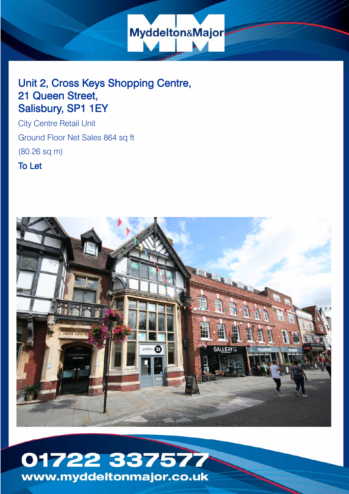

# Unit 2, Cross Keys Shopping Centre, 21 Queen Street, Salisbury, SP1 1EY

City Centre Retail Unit Ground Floor Net Sales 864 sq ft (80.26 sq m)

To Let